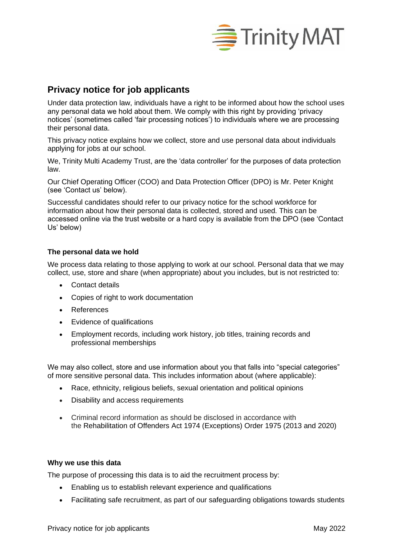

# **Privacy notice for job applicants**

Under data protection law, individuals have a right to be informed about how the school uses any personal data we hold about them. We comply with this right by providing 'privacy notices' (sometimes called 'fair processing notices') to individuals where we are processing their personal data.

This privacy notice explains how we collect, store and use personal data about individuals applying for jobs at our school.

We, Trinity Multi Academy Trust, are the 'data controller' for the purposes of data protection law.

Our Chief Operating Officer (COO) and Data Protection Officer (DPO) is Mr. Peter Knight (see 'Contact us' below).

Successful candidates should refer to our privacy notice for the school workforce for information about how their personal data is collected, stored and used. This can be accessed online via the trust website or a hard copy is available from the DPO (see 'Contact Us' below)

## **The personal data we hold**

We process data relating to those applying to work at our school. Personal data that we may collect, use, store and share (when appropriate) about you includes, but is not restricted to:

- Contact details
- Copies of right to work documentation
- References
- Evidence of qualifications
- Employment records, including work history, job titles, training records and professional memberships

We may also collect, store and use information about you that falls into "special categories" of more sensitive personal data. This includes information about (where applicable):

- Race, ethnicity, religious beliefs, sexual orientation and political opinions
- Disability and access requirements
- Criminal record information as should be disclosed in accordance with the Rehabilitation of Offenders Act 1974 (Exceptions) Order 1975 (2013 and 2020)

## **Why we use this data**

The purpose of processing this data is to aid the recruitment process by:

- Enabling us to establish relevant experience and qualifications
- Facilitating safe recruitment, as part of our safeguarding obligations towards students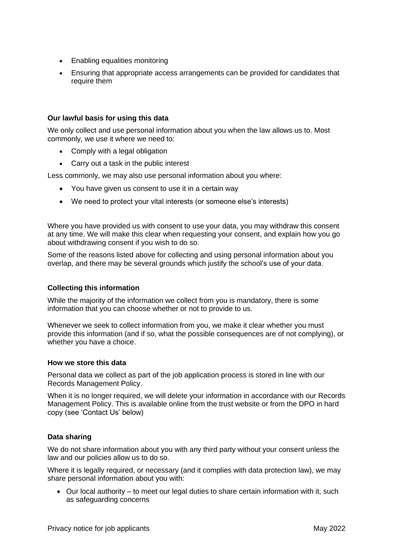- Enabling equalities monitoring
- Ensuring that appropriate access arrangements can be provided for candidates that require them

## **Our lawful basis for using this data**

We only collect and use personal information about you when the law allows us to. Most commonly, we use it where we need to:

- Comply with a legal obligation
- Carry out a task in the public interest

Less commonly, we may also use personal information about you where:

- You have given us consent to use it in a certain way
- We need to protect your vital interests (or someone else's interests)

Where you have provided us with consent to use your data, you may withdraw this consent at any time. We will make this clear when requesting your consent, and explain how you go about withdrawing consent if you wish to do so.

Some of the reasons listed above for collecting and using personal information about you overlap, and there may be several grounds which justify the school's use of your data.

## **Collecting this information**

While the majority of the information we collect from you is mandatory, there is some information that you can choose whether or not to provide to us.

Whenever we seek to collect information from you, we make it clear whether you must provide this information (and if so, what the possible consequences are of not complying), or whether you have a choice.

## **How we store this data**

Personal data we collect as part of the job application process is stored in line with our Records Management Policy.

When it is no longer required, we will delete your information in accordance with our Records Management Policy. This is available online from the trust website or from the DPO in hard copy (see 'Contact Us' below)

## **Data sharing**

We do not share information about you with any third party without your consent unless the law and our policies allow us to do so.

Where it is legally required, or necessary (and it complies with data protection law), we may share personal information about you with:

• Our local authority – to meet our legal duties to share certain information with it, such as safeguarding concerns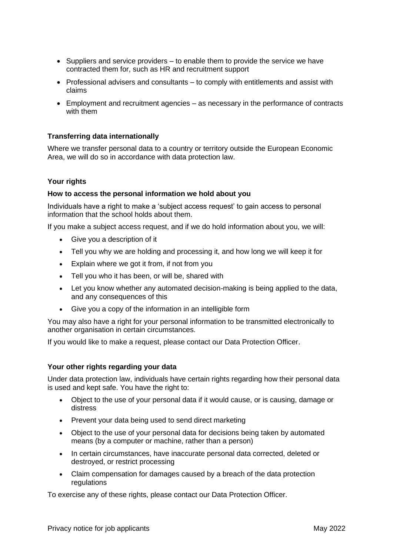- Suppliers and service providers to enable them to provide the service we have contracted them for, such as HR and recruitment support
- Professional advisers and consultants to comply with entitlements and assist with claims
- Employment and recruitment agencies as necessary in the performance of contracts with them

## **Transferring data internationally**

Where we transfer personal data to a country or territory outside the European Economic Area, we will do so in accordance with data protection law.

## **Your rights**

#### **How to access the personal information we hold about you**

Individuals have a right to make a 'subject access request' to gain access to personal information that the school holds about them.

If you make a subject access request, and if we do hold information about you, we will:

- Give you a description of it
- Tell you why we are holding and processing it, and how long we will keep it for
- Explain where we got it from, if not from you
- Tell you who it has been, or will be, shared with
- Let you know whether any automated decision-making is being applied to the data, and any consequences of this
- Give you a copy of the information in an intelligible form

You may also have a right for your personal information to be transmitted electronically to another organisation in certain circumstances.

If you would like to make a request, please contact our Data Protection Officer.

## **Your other rights regarding your data**

Under data protection law, individuals have certain rights regarding how their personal data is used and kept safe. You have the right to:

- Object to the use of your personal data if it would cause, or is causing, damage or distress
- Prevent your data being used to send direct marketing
- Object to the use of your personal data for decisions being taken by automated means (by a computer or machine, rather than a person)
- In certain circumstances, have inaccurate personal data corrected, deleted or destroyed, or restrict processing
- Claim compensation for damages caused by a breach of the data protection regulations

To exercise any of these rights, please contact our Data Protection Officer.